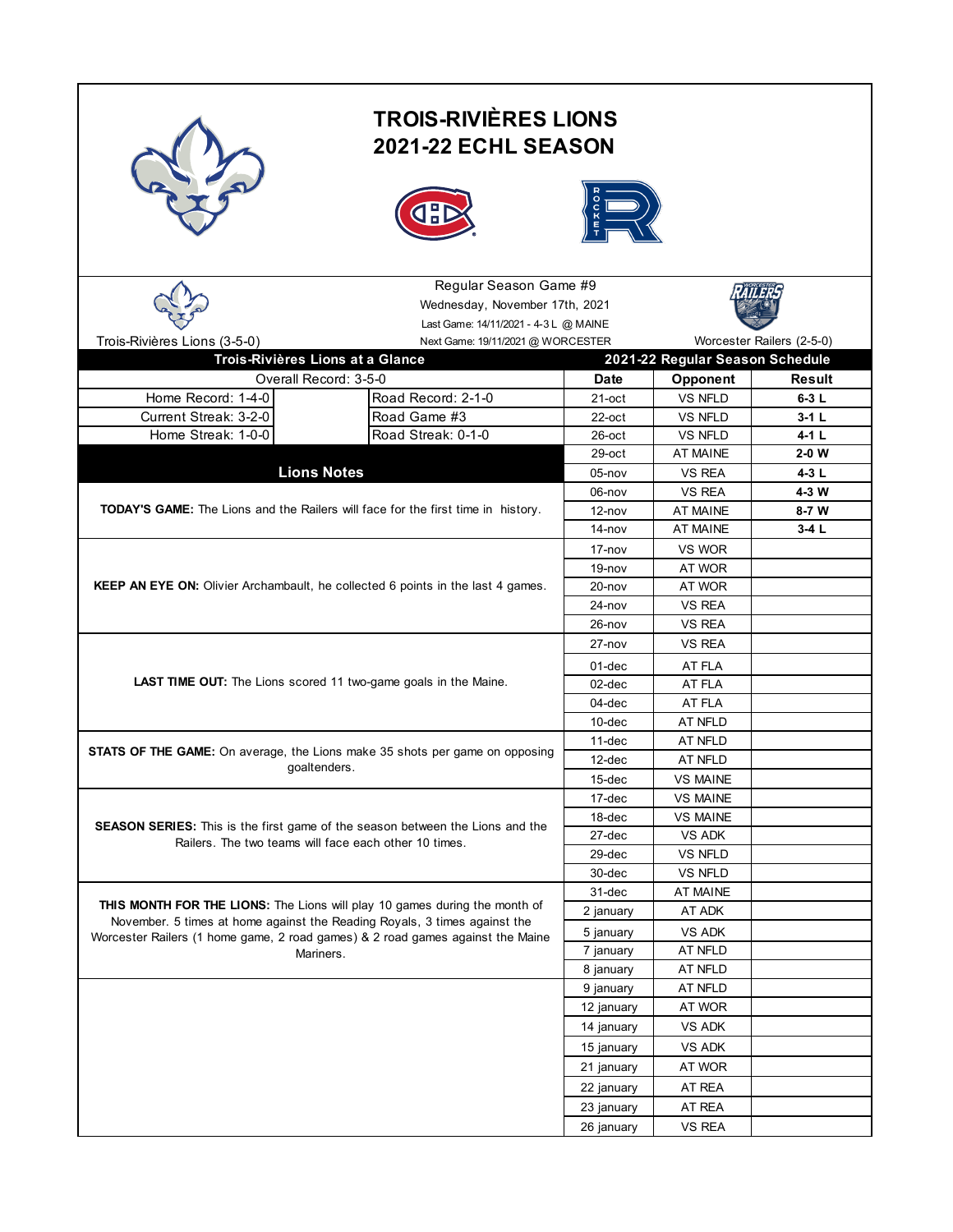|                                                                                                | <b>TROIS-RIVIÈRES LIONS</b><br><b>2021-22 ECHL SEASON</b> |             |                                 |         |  |
|------------------------------------------------------------------------------------------------|-----------------------------------------------------------|-------------|---------------------------------|---------|--|
|                                                                                                | Regular Season Game #9<br>Wednesday, November 17th, 2021  |             |                                 |         |  |
|                                                                                                | Last Game: 14/11/2021 - 4-3 L @ MAINE                     |             |                                 |         |  |
| Worcester Railers (2-5-0)<br>Trois-Rivières Lions (3-5-0)<br>Next Game: 19/11/2021 @ WORCESTER |                                                           |             |                                 |         |  |
| Trois-Rivières Lions at a Glance                                                               |                                                           |             | 2021-22 Regular Season Schedule |         |  |
| Overall Record: 3-5-0                                                                          |                                                           | <b>Date</b> | Opponent                        | Result  |  |
| Home Record: 1-4-0                                                                             | Road Record: 2-1-0                                        | $21$ -oct   | <b>VS NFLD</b>                  | $6-3L$  |  |
| Current Streak: 3-2-0                                                                          | Road Game #3                                              | $22$ -oct   | <b>VS NFLD</b>                  | $3-1L$  |  |
| Home Streak: 1-0-0                                                                             | Road Streak: 0-1-0                                        | $26$ -oct   | <b>VS NFLD</b>                  | $4-1L$  |  |
|                                                                                                |                                                           | $29$ -oct   | <b>AT MAINE</b>                 | $2-0$ W |  |
| <b>Lions Notes</b>                                                                             |                                                           | $05$ -nov   | <b>VS REA</b>                   | 4-3 L   |  |
|                                                                                                |                                                           | 06-nov      | <b>VS REA</b>                   | 4-3 W   |  |
| <b>TODAY'S GAME:</b> The Lions and the Railers will face for the first time in history.        |                                                           | $12 - nov$  | <b>AT MAINE</b>                 | $8-7$ W |  |
|                                                                                                |                                                           | 14-nov      | AT MAINE                        | $3-4L$  |  |
|                                                                                                |                                                           | 17-nov      | VS WOR                          |         |  |
|                                                                                                |                                                           | $19 - nov$  | AT WOR                          |         |  |
| <b>KEEP AN EYE ON:</b> Olivier Archambault, he collected 6 points in the last 4 games.         |                                                           | $20 - nov$  | AT WOR                          |         |  |
|                                                                                                |                                                           | 24-nov      | VS REA                          |         |  |
|                                                                                                |                                                           | $26 - nov$  | <b>VS REA</b>                   |         |  |
|                                                                                                |                                                           | $27 - nov$  | <b>VS REA</b>                   |         |  |
|                                                                                                |                                                           | 01-dec      | AT FLA                          |         |  |
| LAST TIME OUT: The Lions scored 11 two-game goals in the Maine.                                |                                                           | 02-dec      | AT FLA                          |         |  |
|                                                                                                |                                                           | 04-dec      | AT FLA                          |         |  |
|                                                                                                |                                                           | $10$ -dec   | AT NFLD                         |         |  |
|                                                                                                |                                                           | 11-dec      | AT NFLD                         |         |  |
| <b>STATS OF THE GAME:</b> On average, the Lions make 35 shots per game on opposing             | 12-dec                                                    | AT NFLD     |                                 |         |  |
| goaltenders.                                                                                   |                                                           | 15-dec      | <b>VS MAINE</b>                 |         |  |
|                                                                                                |                                                           | 17-dec      | <b>VS MAINE</b>                 |         |  |
|                                                                                                |                                                           | 18-dec      | <b>VS MAINE</b>                 |         |  |
| SEASON SERIES: This is the first game of the season between the Lions and the                  |                                                           | 27-dec      | VS ADK                          |         |  |
| Railers. The two teams will face each other 10 times.                                          |                                                           | 29-dec      | VS NFLD                         |         |  |
|                                                                                                |                                                           | 30-dec      | VS NFLD                         |         |  |
|                                                                                                |                                                           | 31-dec      | AT MAINE                        |         |  |
| THIS MONTH FOR THE LIONS: The Lions will play 10 games during the month of                     |                                                           | 2 january   | AT ADK                          |         |  |
| November. 5 times at home against the Reading Royals, 3 times against the                      |                                                           | 5 january   | VS ADK                          |         |  |
| Worcester Railers (1 home game, 2 road games) & 2 road games against the Maine                 |                                                           | 7 january   | AT NFLD                         |         |  |
| Mariners.                                                                                      | 8 january                                                 | AT NFLD     |                                 |         |  |
|                                                                                                |                                                           | 9 january   | AT NFLD                         |         |  |
|                                                                                                |                                                           | 12 january  | AT WOR                          |         |  |
|                                                                                                |                                                           | 14 january  | VS ADK                          |         |  |
|                                                                                                |                                                           |             |                                 |         |  |
|                                                                                                |                                                           | 15 january  | VS ADK                          |         |  |
|                                                                                                |                                                           | 21 january  | AT WOR                          |         |  |
|                                                                                                |                                                           | 22 january  | AT REA                          |         |  |
|                                                                                                |                                                           | 23 january  | AT REA                          |         |  |
|                                                                                                | 26 january                                                | VS REA      |                                 |         |  |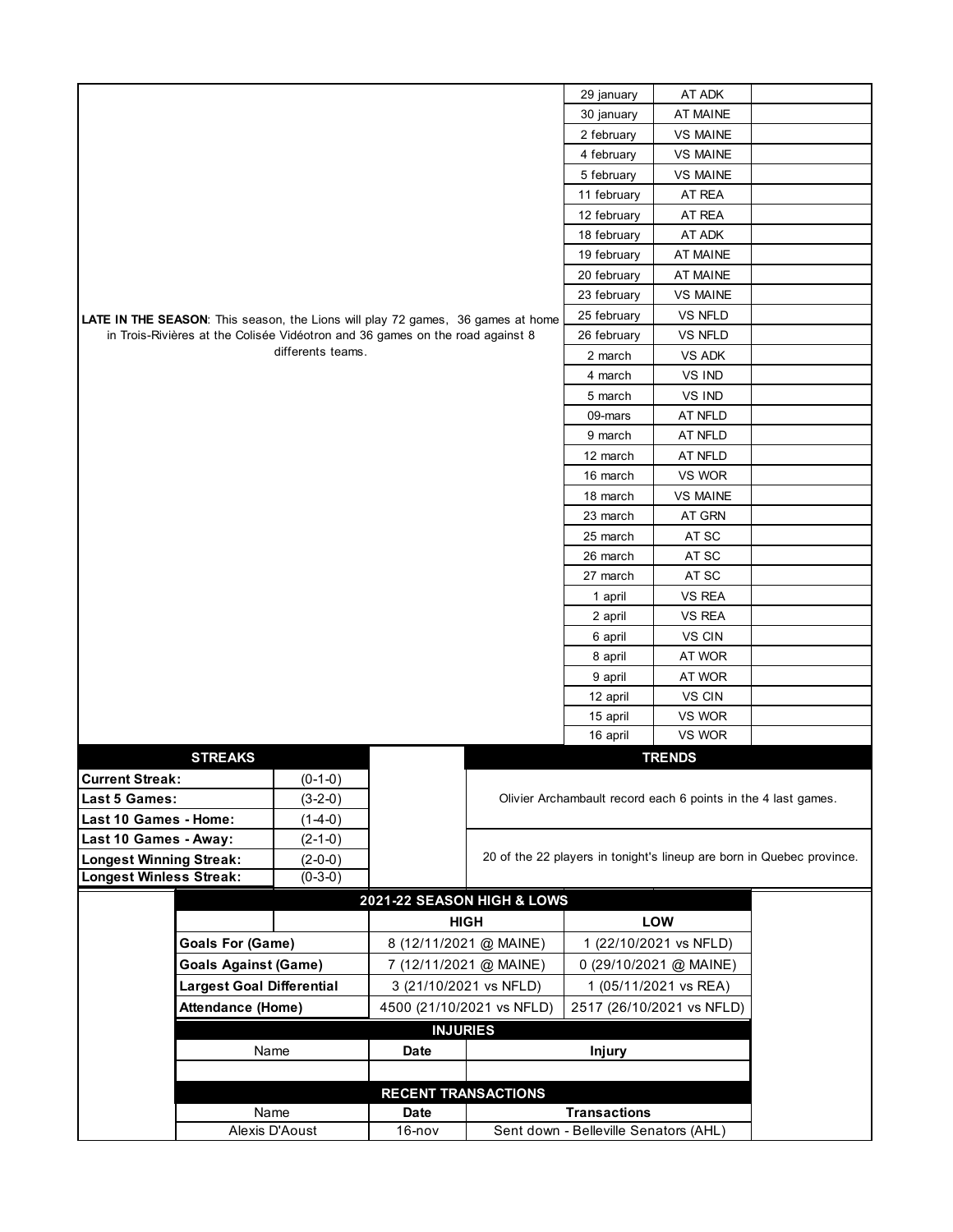|                                                                                 |                                                            |                                                                               |                        |                            | 29 january                                                            | AT ADK                                                        |  |
|---------------------------------------------------------------------------------|------------------------------------------------------------|-------------------------------------------------------------------------------|------------------------|----------------------------|-----------------------------------------------------------------------|---------------------------------------------------------------|--|
|                                                                                 |                                                            |                                                                               |                        |                            | 30 january                                                            | <b>AT MAINE</b>                                               |  |
|                                                                                 |                                                            |                                                                               |                        |                            | 2 february                                                            | <b>VS MAINE</b>                                               |  |
|                                                                                 |                                                            |                                                                               |                        |                            | 4 february                                                            | <b>VS MAINE</b>                                               |  |
|                                                                                 |                                                            |                                                                               |                        |                            | 5 february                                                            | <b>VS MAINE</b>                                               |  |
|                                                                                 |                                                            |                                                                               |                        |                            | 11 february                                                           | AT REA                                                        |  |
|                                                                                 |                                                            |                                                                               |                        |                            | 12 february                                                           | AT REA                                                        |  |
|                                                                                 |                                                            |                                                                               |                        |                            | 18 february                                                           | AT ADK                                                        |  |
|                                                                                 |                                                            |                                                                               |                        |                            | 19 february                                                           | <b>AT MAINE</b>                                               |  |
|                                                                                 |                                                            |                                                                               |                        |                            | 20 february                                                           | <b>AT MAINE</b>                                               |  |
|                                                                                 |                                                            |                                                                               |                        |                            | 23 february                                                           | <b>VS MAINE</b>                                               |  |
| LATE IN THE SEASON: This season, the Lions will play 72 games, 36 games at home |                                                            |                                                                               |                        |                            | 25 february                                                           | VS NFLD                                                       |  |
|                                                                                 |                                                            | in Trois-Rivières at the Colisée Vidéotron and 36 games on the road against 8 |                        |                            | 26 february                                                           | VS NFLD                                                       |  |
|                                                                                 |                                                            | differents teams.                                                             |                        |                            | 2 march                                                               | VS ADK                                                        |  |
|                                                                                 |                                                            |                                                                               |                        |                            | 4 march                                                               | VS IND                                                        |  |
|                                                                                 |                                                            |                                                                               |                        |                            | 5 march                                                               | VS IND                                                        |  |
|                                                                                 |                                                            |                                                                               |                        |                            | 09-mars                                                               | AT NFLD                                                       |  |
|                                                                                 |                                                            |                                                                               |                        |                            | 9 march                                                               | AT NFLD                                                       |  |
|                                                                                 |                                                            |                                                                               |                        |                            | 12 march                                                              | AT NFLD                                                       |  |
|                                                                                 |                                                            |                                                                               |                        |                            | 16 march                                                              | VS WOR                                                        |  |
|                                                                                 |                                                            |                                                                               |                        |                            | 18 march                                                              | <b>VS MAINE</b>                                               |  |
|                                                                                 |                                                            |                                                                               |                        |                            | 23 march                                                              | AT GRN                                                        |  |
|                                                                                 |                                                            |                                                                               |                        |                            |                                                                       | AT SC                                                         |  |
|                                                                                 |                                                            |                                                                               |                        |                            | 26 march                                                              | AT SC                                                         |  |
|                                                                                 |                                                            |                                                                               |                        |                            | 27 march                                                              | AT SC                                                         |  |
|                                                                                 |                                                            |                                                                               |                        |                            | 1 april                                                               | VS REA                                                        |  |
|                                                                                 |                                                            |                                                                               |                        |                            | 2 april                                                               | VS REA                                                        |  |
|                                                                                 |                                                            |                                                                               |                        |                            | 6 april                                                               | VS CIN                                                        |  |
|                                                                                 |                                                            |                                                                               |                        |                            | 8 april                                                               | AT WOR                                                        |  |
|                                                                                 |                                                            |                                                                               |                        |                            |                                                                       | AT WOR                                                        |  |
|                                                                                 |                                                            |                                                                               |                        |                            | 12 april                                                              | VS CIN                                                        |  |
|                                                                                 |                                                            |                                                                               |                        |                            | 15 april                                                              | VS WOR                                                        |  |
|                                                                                 |                                                            |                                                                               |                        |                            | 16 april                                                              | VS WOR                                                        |  |
|                                                                                 | <b>STREAKS</b>                                             |                                                                               |                        |                            |                                                                       | <b>TRENDS</b>                                                 |  |
| <b>Current Streak:</b>                                                          |                                                            | $(0-1-0)$                                                                     |                        |                            |                                                                       |                                                               |  |
| <b>Last 5 Games:</b>                                                            |                                                            | $(3-2-0)$                                                                     |                        |                            |                                                                       | Olivier Archambault record each 6 points in the 4 last games. |  |
| Last 10 Games - Home:                                                           |                                                            | $(1-4-0)$                                                                     |                        |                            |                                                                       |                                                               |  |
| Last 10 Games - Away:                                                           |                                                            | $(2-1-0)$                                                                     |                        |                            |                                                                       |                                                               |  |
| <b>Longest Winning Streak:</b>                                                  |                                                            | $(2-0-0)$                                                                     |                        |                            | 20 of the 22 players in tonight's lineup are born in Quebec province. |                                                               |  |
| <b>Longest Winless Streak:</b>                                                  |                                                            | $(0-3-0)$                                                                     |                        |                            |                                                                       |                                                               |  |
|                                                                                 |                                                            |                                                                               |                        | 2021-22 SEASON HIGH & LOWS |                                                                       |                                                               |  |
|                                                                                 |                                                            |                                                                               | <b>HIGH</b>            |                            |                                                                       | <b>LOW</b>                                                    |  |
|                                                                                 | <b>Goals For (Game)</b>                                    |                                                                               | 8 (12/11/2021 @ MAINE) |                            | 1 (22/10/2021 vs NFLD)                                                |                                                               |  |
|                                                                                 | <b>Goals Against (Game)</b><br>7 (12/11/2021 @ MAINE)      |                                                                               |                        |                            | 0 (29/10/2021 @ MAINE)                                                |                                                               |  |
|                                                                                 | <b>Largest Goal Differential</b><br>3 (21/10/2021 vs NFLD) |                                                                               |                        | 1 (05/11/2021 vs REA)      |                                                                       |                                                               |  |
|                                                                                 | Attendance (Home)<br>4500 (21/10/2021 vs NFLD)             |                                                                               |                        | 2517 (26/10/2021 vs NFLD)  |                                                                       |                                                               |  |
| <b>INJURIES</b>                                                                 |                                                            |                                                                               |                        |                            |                                                                       |                                                               |  |
| Name<br>Date<br><b>Injury</b>                                                   |                                                            |                                                                               |                        |                            |                                                                       |                                                               |  |
|                                                                                 |                                                            |                                                                               |                        |                            |                                                                       |                                                               |  |
|                                                                                 |                                                            |                                                                               |                        |                            |                                                                       |                                                               |  |
| <b>RECENT TRANSACTIONS</b><br><b>Transactions</b><br>Name<br>Date               |                                                            |                                                                               |                        |                            |                                                                       |                                                               |  |
|                                                                                 |                                                            |                                                                               | $16 - nov$             |                            | Sent down - Belleville Senators (AHL)                                 |                                                               |  |
| Alexis D'Aoust                                                                  |                                                            |                                                                               |                        |                            |                                                                       |                                                               |  |